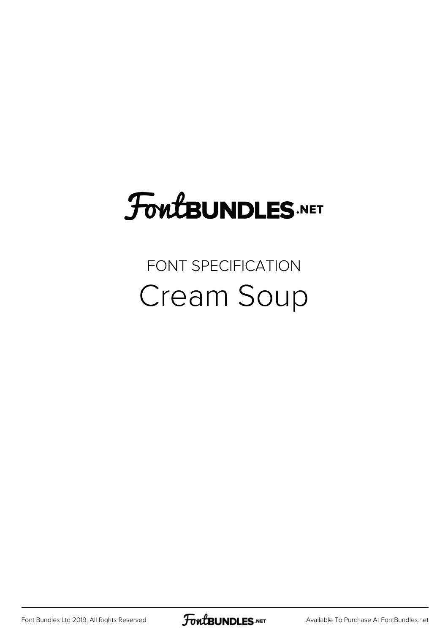# FoutBUNDLES.NET

#### FONT SPECIFICATION Cream Soup

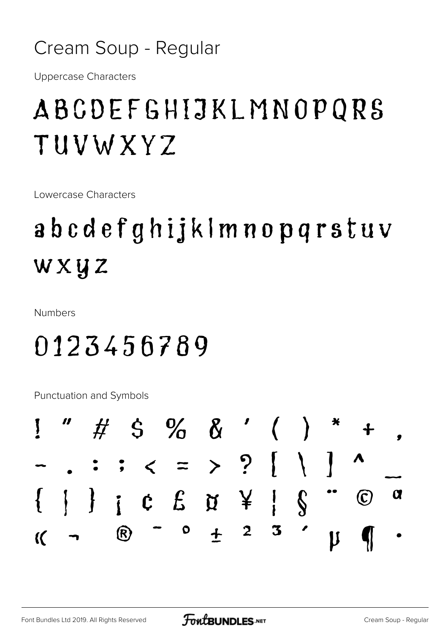#### Cream Soup - Regular

**Uppercase Characters** 

### ABCDEFGHIJKLMNOPQRS TUVWXYZ

Lowercase Characters

## abcdefghijklmnopgrstuv wxyz

**Numbers** 

#### 0123456789

Punctuation and Symbols

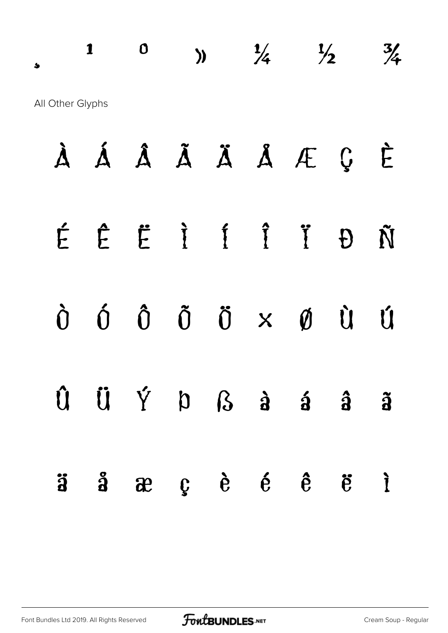$\frac{1}{2}$  0 )  $\frac{1}{4}$   $\frac{1}{2}$   $\frac{3}{4}$ All Other Glyphs

|  |  |  | À Á Â Ã Ä Ä Å Æ Ç È                                                                                                                    |  |
|--|--|--|----------------------------------------------------------------------------------------------------------------------------------------|--|
|  |  |  | ÉÊËÌÍÎ Ï ĐÑ                                                                                                                            |  |
|  |  |  | $\begin{array}{ccccccccccccc}\n\dot{0} & \dot{0} & \dot{0} & \ddot{0} & \ddot{0} & x & \dot{\emptyset} & \dot{\emptyset}\n\end{array}$ |  |
|  |  |  | $\hat{U} \quad \hat{U} \quad \hat{Y} \quad D \quad S \quad \hat{a} \quad \hat{a} \quad \hat{a}$                                        |  |
|  |  |  | $\ddot{a}$ $\ddot{a}$ $\ddot{a}$ $\ddot{c}$ $\ddot{e}$ $\ddot{e}$ $\ddot{e}$ $\ddot{e}$ $\ddot{e}$ $\ddot{e}$                          |  |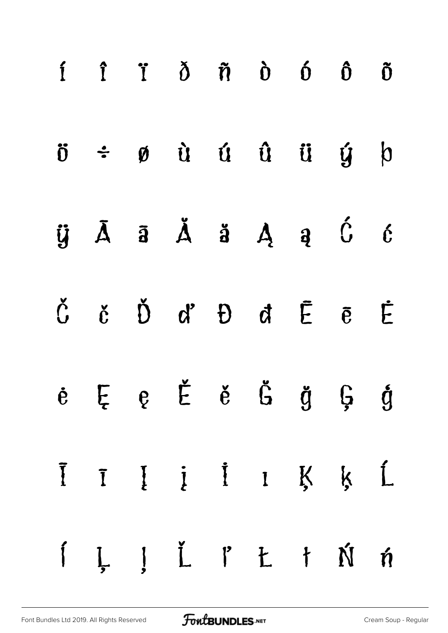|  | $i$ $i$ $j$ $\delta$ $\tilde{n}$ $\delta$ $\delta$ $\tilde{0}$ $\tilde{0}$                                                                                                                                                                                            |  |  |  |
|--|-----------------------------------------------------------------------------------------------------------------------------------------------------------------------------------------------------------------------------------------------------------------------|--|--|--|
|  | $\ddot{\sigma}$ $\div$ $\phi$ $\dot{u}$ $\dot{u}$ $\ddot{u}$ $\ddot{u}$ $\dot{y}$ $\phi$                                                                                                                                                                              |  |  |  |
|  | $\ddot{y}$ $\bar{A}$ $\ddot{a}$ $\ddot{A}$ $\ddot{a}$ $\ddot{A}$ $\ddot{a}$ $\ddot{b}$ $\ddot{c}$                                                                                                                                                                     |  |  |  |
|  | $\check{C}$ č $\check{D}$ d' $\check{D}$ d $\bar{E}$ ē $\dot{E}$                                                                                                                                                                                                      |  |  |  |
|  | $e E e E e$ č č č g $\zeta$ ĝ                                                                                                                                                                                                                                         |  |  |  |
|  | Īī Į į İ I Ķ Ķ Ĺ                                                                                                                                                                                                                                                      |  |  |  |
|  | $\begin{array}{cccccccccccccc} \textbf{\textit{i}} & \textbf{\textit{j}} & \textbf{\textit{j}} & \textbf{\textit{k}} & \textbf{\textit{l}} & \textbf{\textit{k}} & \textbf{\textit{k}} & \textbf{\textit{k}} & \textbf{\textit{m}} & \textbf{\textit{m}} \end{array}$ |  |  |  |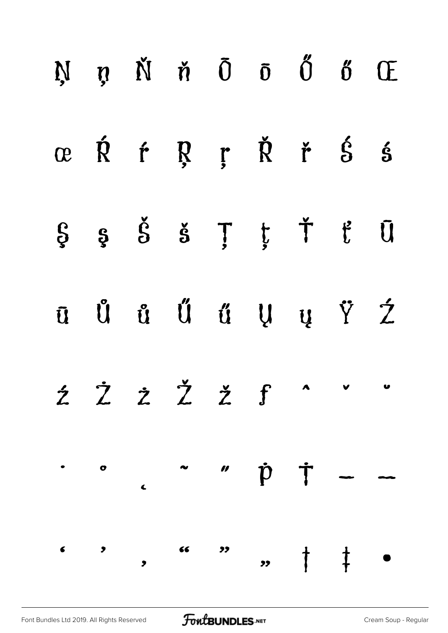|  | $N$ n $\check{N}$ n $\bar{0}$ $\tilde{0}$ $\tilde{0}$ $\tilde{0}$ $\tilde{0}$ $\tilde{C}$ |  |  |  |
|--|-------------------------------------------------------------------------------------------|--|--|--|
|  | œ Ŕ ŕ Ŗ ŗ Ř ř Ś ś                                                                         |  |  |  |
|  | $\S$ $\S$ $\delta$ $\S$ $\tilde{S}$ $\tilde{T}$ $\tilde{t}$ $\tilde{U}$                   |  |  |  |
|  | $\bar{u}$ U u U u V $\dot{z}$                                                             |  |  |  |
|  |                                                                                           |  |  |  |
|  | $\cdot$ $\circ$ $\sim$ $\circ$ $\dot{p}$ $\dot{T}$ $\sim$ $\sim$                          |  |  |  |
|  |                                                                                           |  |  |  |